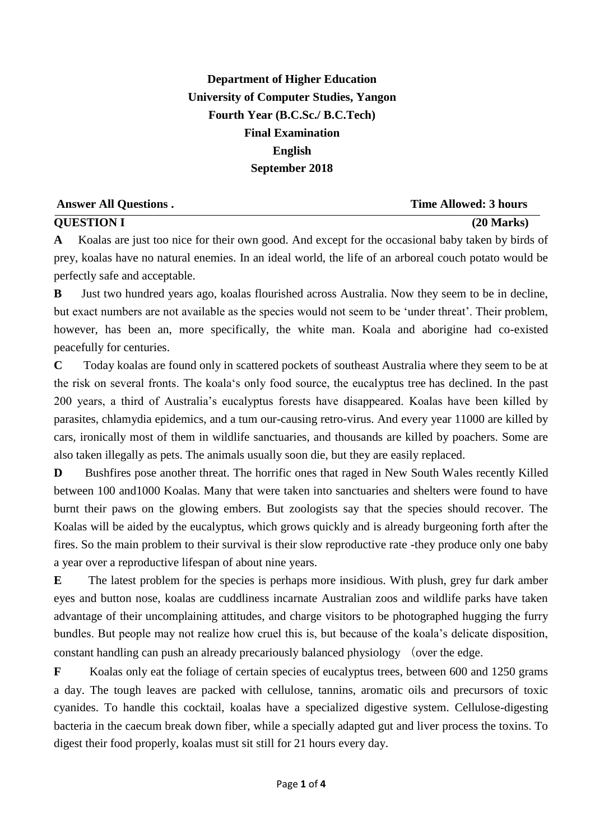## **Department of Higher Education University of Computer Studies, Yangon Fourth Year (B.C.Sc./ B.C.Tech) Final Examination English September 2018**

| <b>Answer All Questions.</b> | <b>Time Allowed: 3 hours</b> |
|------------------------------|------------------------------|
| <b>QUESTION I</b>            | $(20$ Marks)                 |

**A** Koalas are just too nice for their own good. And except for the occasional baby taken by birds of prey, koalas have no natural enemies. In an ideal world, the life of an arboreal couch potato would be perfectly safe and acceptable.

**B** Just two hundred years ago, koalas flourished across Australia. Now they seem to be in decline, but exact numbers are not available as the species would not seem to be 'under threat'. Their problem, however, has been an, more specifically, the white man. Koala and aborigine had co-existed peacefully for centuries.

**C** Today koalas are found only in scattered pockets of southeast Australia where they seem to be at the risk on several fronts. The koala's only food source, the eucalyptus tree has declined. In the past 200 years, a third of Australia's eucalyptus forests have disappeared. Koalas have been killed by parasites, chlamydia epidemics, and a tum our-causing retro-virus. And every year 11000 are killed by cars, ironically most of them in wildlife sanctuaries, and thousands are killed by poachers. Some are also taken illegally as pets. The animals usually soon die, but they are easily replaced.

**D** Bushfires pose another threat. The horrific ones that raged in New South Wales recently Killed between 100 and1000 Koalas. Many that were taken into sanctuaries and shelters were found to have burnt their paws on the glowing embers. But zoologists say that the species should recover. The Koalas will be aided by the eucalyptus, which grows quickly and is already burgeoning forth after the fires. So the main problem to their survival is their slow reproductive rate -they produce only one baby a year over a reproductive lifespan of about nine years.

**E** The latest problem for the species is perhaps more insidious. With plush, grey fur dark amber eyes and button nose, koalas are cuddliness incarnate Australian zoos and wildlife parks have taken advantage of their uncomplaining attitudes, and charge visitors to be photographed hugging the furry bundles. But people may not realize how cruel this is, but because of the koala's delicate disposition, constant handling can push an already precariously balanced physiology (over the edge.

**F** Koalas only eat the foliage of certain species of eucalyptus trees, between 600 and 1250 grams a day. The tough leaves are packed with cellulose, tannins, aromatic oils and precursors of toxic cyanides. To handle this cocktail, koalas have a specialized digestive system. Cellulose-digesting bacteria in the caecum break down fiber, while a specially adapted gut and liver process the toxins. To digest their food properly, koalas must sit still for 21 hours every day.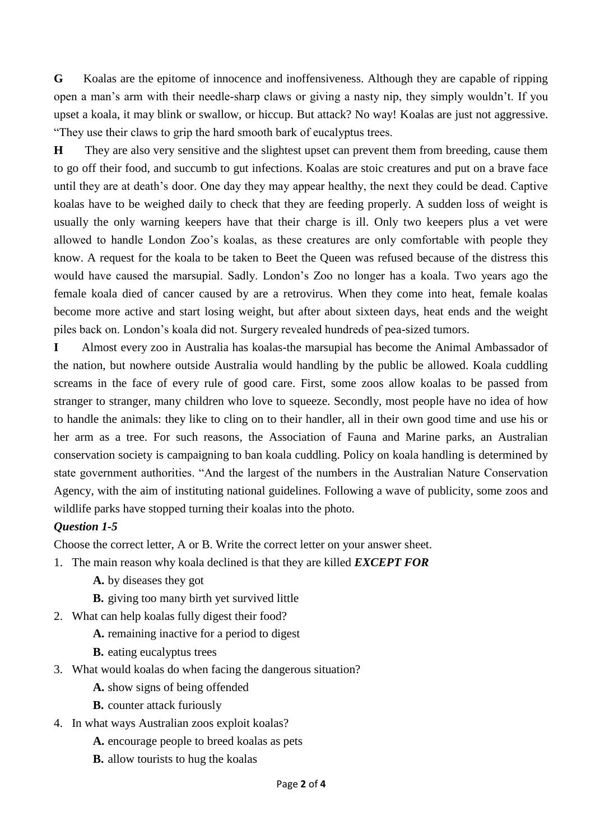**G** Koalas are the epitome of innocence and inoffensiveness. Although they are capable of ripping open a man's arm with their needle-sharp claws or giving a nasty nip, they simply wouldn't. If you upset a koala, it may blink or swallow, or hiccup. But attack? No way! Koalas are just not aggressive. "They use their claws to grip the hard smooth bark of eucalyptus trees.

**H** They are also very sensitive and the slightest upset can prevent them from breeding, cause them to go off their food, and succumb to gut infections. Koalas are stoic creatures and put on a brave face until they are at death's door. One day they may appear healthy, the next they could be dead. Captive koalas have to be weighed daily to check that they are feeding properly. A sudden loss of weight is usually the only warning keepers have that their charge is ill. Only two keepers plus a vet were allowed to handle London Zoo's koalas, as these creatures are only comfortable with people they know. A request for the koala to be taken to Beet the Queen was refused because of the distress this would have caused the marsupial. Sadly. London's Zoo no longer has a koala. Two years ago the female koala died of cancer caused by are a retrovirus. When they come into heat, female koalas become more active and start losing weight, but after about sixteen days, heat ends and the weight piles back on. London's koala did not. Surgery revealed hundreds of pea-sized tumors.

**I** Almost every zoo in Australia has koalas-the marsupial has become the Animal Ambassador of the nation, but nowhere outside Australia would handling by the public be allowed. Koala cuddling screams in the face of every rule of good care. First, some zoos allow koalas to be passed from stranger to stranger, many children who love to squeeze. Secondly, most people have no idea of how to handle the animals: they like to cling on to their handler, all in their own good time and use his or her arm as a tree. For such reasons, the Association of Fauna and Marine parks, an Australian conservation society is campaigning to ban koala cuddling. Policy on koala handling is determined by state government authorities. "And the largest of the numbers in the Australian Nature Conservation Agency, with the aim of instituting national guidelines. Following a wave of publicity, some zoos and wildlife parks have stopped turning their koalas into the photo.

### *Question 1-5*

Choose the correct letter, A or B. Write the correct letter on your answer sheet.

- 1. The main reason why koala declined is that they are killed *EXCEPT FOR*
	- **A.** by diseases they got
	- **B.** giving too many birth yet survived little
- 2. What can help koalas fully digest their food?
	- **A.** remaining inactive for a period to digest
	- **B.** eating eucalyptus trees
- 3. What would koalas do when facing the dangerous situation?
	- **A.** show signs of being offended
	- **B.** counter attack furiously
- 4. In what ways Australian zoos exploit koalas?
	- **A.** encourage people to breed koalas as pets
	- **B.** allow tourists to hug the koalas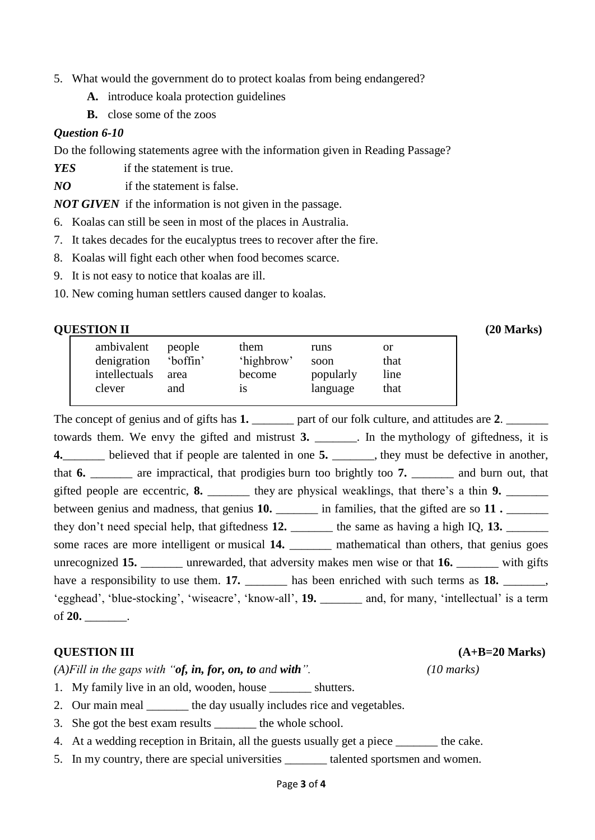- 5. What would the government do to protect koalas from being endangered?
	- **A.** introduce koala protection guidelines
	- **B.** close some of the zoos

#### *Question 6-10*

Do the following statements agree with the information given in Reading Passage?

*YES* if the statement is true.

*NO* if the statement is false.

*NOT GIVEN* if the information is not given in the passage.

- 6. Koalas can still be seen in most of the places in Australia.
- 7. It takes decades for the eucalyptus trees to recover after the fire.
- 8. Koalas will fight each other when food becomes scarce.
- 9. It is not easy to notice that koalas are ill.
- 10. New coming human settlers caused danger to koalas.

| <b>QUESTION II</b> |
|--------------------|
|--------------------|

| <b>QUESTION II</b> |          |            |           |           |  |  |
|--------------------|----------|------------|-----------|-----------|--|--|
| ambivalent         | people   | them       | runs      | <b>or</b> |  |  |
| denigration        | 'boffin' | 'highbrow' | soon      | that      |  |  |
| intellectuals      | area     | become     | popularly | line      |  |  |
| clever             | and      | 1S         | language  | that      |  |  |
|                    |          |            |           |           |  |  |

The concept of genius and of gifts has 1. \_\_\_\_\_\_\_ part of our folk culture, and attitudes are 2. towards them. We envy the gifted and mistrust **3.** \_\_\_\_\_\_\_. In the mythology of giftedness, it is **4.**\_\_\_\_\_\_\_ believed that if people are talented in one **5.** \_\_\_\_\_\_\_, they must be defective in another, that **6.** \_\_\_\_\_\_\_ are impractical, that prodigies burn too brightly too **7.** \_\_\_\_\_\_\_ and burn out, that gifted people are eccentric, **8.** \_\_\_\_\_\_\_ they are physical weaklings, that there's a thin **9.** \_\_\_\_\_\_\_\_ between genius and madness, that genius 10. \_\_\_\_\_\_\_ in families, that the gifted are so 11. they don't need special help, that giftedness 12. \_\_\_\_\_\_\_ the same as having a high IQ, 13. \_\_\_\_\_\_\_ some races are more intelligent or musical 14. \_\_\_\_\_\_\_\_ mathematical than others, that genius goes unrecognized 15. **a** unrewarded, that adversity makes men wise or that 16. **with gifts** have a responsibility to use them. **17.** \_\_\_\_\_\_\_ has been enriched with such terms as **18.** \_\_\_\_\_\_, 'egghead', 'blue-stocking', 'wiseacre', 'know-all', **19.** \_\_\_\_\_\_\_ and, for many, 'intellectual' is a term of **20.** \_\_\_\_\_\_\_.

#### **QUESTION III (A+B=20 Marks)**

*(A)Fill in the gaps with "of, in, for, on, to and with". (10 marks)*

- 1. My family live in an old, wooden, house \_\_\_\_\_\_\_ shutters.
- 2. Our main meal the day usually includes rice and vegetables.
- 3. She got the best exam results the whole school.
- 4. At a wedding reception in Britain, all the guests usually get a piece \_\_\_\_\_\_\_ the cake.
- 5. In my country, there are special universities \_\_\_\_\_\_\_ talented sportsmen and women.